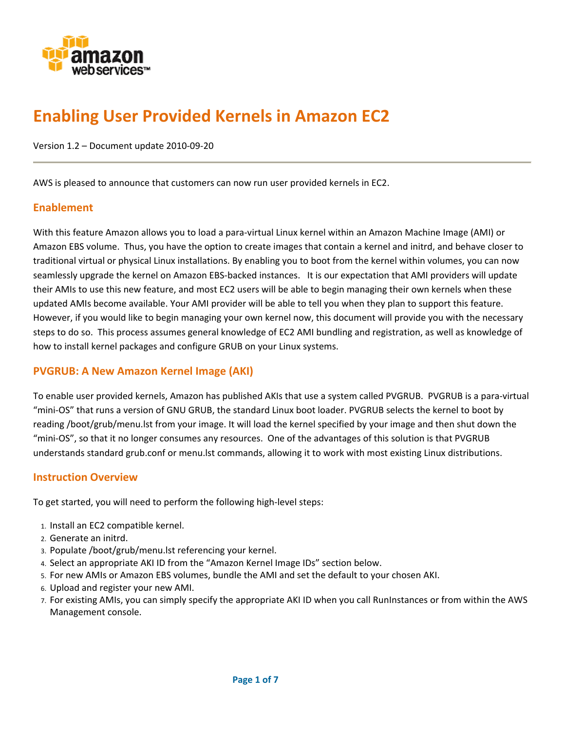

# **Enabling User Provided Kernels in Amazon EC2**

Version 1.2 – Document update 2010‐09‐20

AWS is pleased to announce that customers can now run user provided kernels in EC2.

# **Enablement**

With this feature Amazon allows you to load a para‐virtual Linux kernel within an Amazon Machine Image (AMI) or Amazon EBS volume. Thus, you have the option to create images that contain a kernel and initrd, and behave closer to traditional virtual or physical Linux installations. By enabling you to boot from the kernel within volumes, you can now seamlessly upgrade the kernel on Amazon EBS-backed instances. It is our expectation that AMI providers will update their AMIs to use this new feature, and most EC2 users will be able to begin managing their own kernels when these updated AMIs become available. Your AMI provider will be able to tell you when they plan to support this feature. However, if you would like to begin managing your own kernel now, this document will provide you with the necessary steps to do so. This process assumes general knowledge of EC2 AMI bundling and registration, as well as knowledge of how to install kernel packages and configure GRUB on your Linux systems.

# **PVGRUB: A New Amazon Kernel Image (AKI)**

To enable user provided kernels, Amazon has published AKIs that use a system called PVGRUB. PVGRUB is a para‐virtual "mini‐OS" that runs a version of GNU GRUB, the standard Linux boot loader. PVGRUB selects the kernel to boot by reading /boot/grub/menu.lst from your image. It will load the kernel specified by your image and then shut down the "mini‐OS", so that it no longer consumes any resources. One of the advantages of this solution is that PVGRUB understands standard grub.conf or menu.lst commands, allowing it to work with most existing Linux distributions.

## **Instruction Overview**

To get started, you will need to perform the following high‐level steps:

- 1. Install an EC2 compatible kernel.
- 2. Generate an initrd.
- 3. Populate /boot/grub/menu.lst referencing your kernel.
- 4. Select an appropriate AKI ID from the "Amazon Kernel Image IDs" section below.
- 5. For new AMIs or Amazon EBS volumes, bundle the AMI and set the default to your chosen AKI.
- 6. Upload and register your new AMI.
- 7. For existing AMIs, you can simply specify the appropriate AKI ID when you call RunInstances or from within the AWS Management console.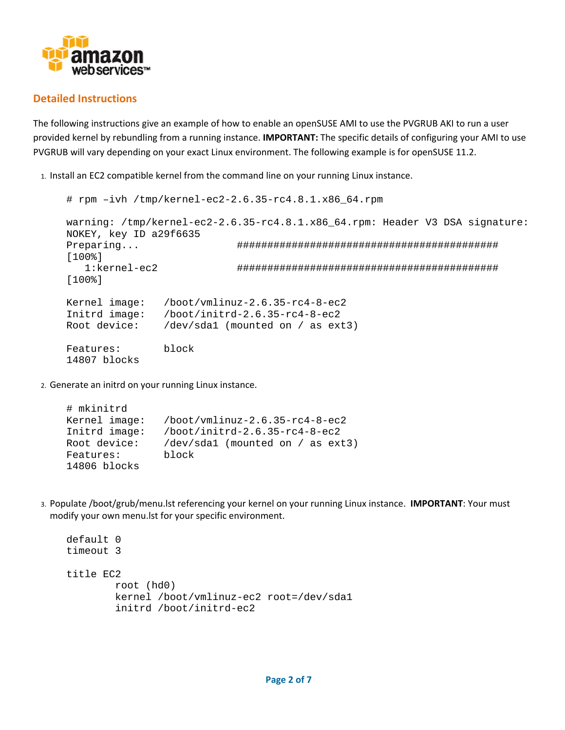

# **Detailed Instructions**

The following instructions give an example of how to enable an openSUSE AMI to use the PVGRUB AKI to run a user provided kernel by rebundling from a running instance. **IMPORTANT:** The specific details of configuring your AMI to use PVGRUB will vary depending on your exact Linux environment. The following example is for openSUSE 11.2.

1. Install an EC2 compatible kernel from the command line on your running Linux instance.

```
# rpm –ivh /tmp/kernel-ec2-2.6.35-rc4.8.1.x86_64.rpm 
warning: /tmp/kernel-ec2-2.6.35-rc4.8.1.x86_64.rpm: Header V3 DSA signature: 
NOKEY, key ID a29f6635 
Preparing... ########################################### 
[100%] 
    1:kernel-ec2 ########################################### 
[100%] 
Kernel image: /boot/vmlinuz-2.6.35-rc4-8-ec2<br>Initrd image: /boot/initrd-2.6.35-rc4-8-ec2
                /boot/initrd-2.6.35-rc4-8-ec2Root device: /dev/sda1 (mounted on / as ext3) 
Features: block 
14807 blocks
```
2. Generate an initrd on your running Linux instance.

```
# mkinitrd 
Kernel image: /boot/vmlinuz-2.6.35-rc4-8-ec2 
Initrd image: /boot/initrd-2.6.35-rc4-8-ec2 
Root device: /dev/sda1 (mounted on / as ext3) 
Features: block 
14806 blocks
```
3. Populate /boot/grub/menu.lst referencing your kernel on your running Linux instance. **IMPORTANT**: Your must modify your own menu.lst for your specific environment.

```
default 0 
timeout 3 
title EC2 
         root (hd0) 
         kernel /boot/vmlinuz-ec2 root=/dev/sda1 
         initrd /boot/initrd-ec2
```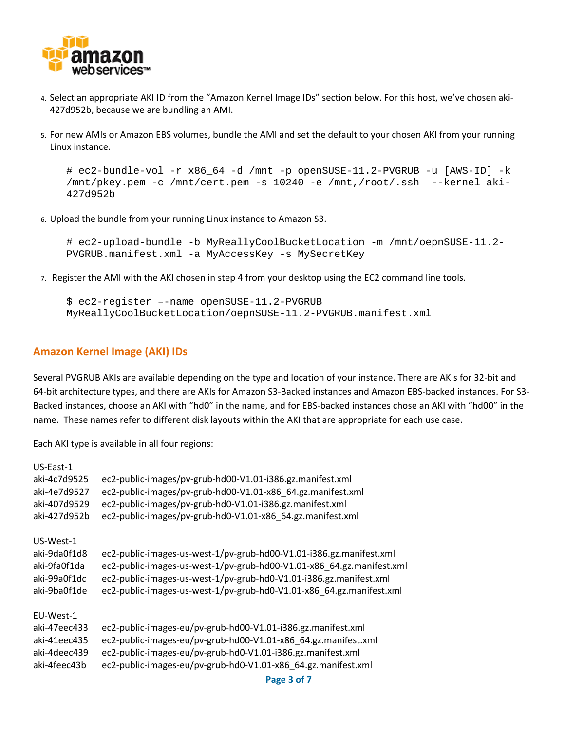

- 4. Select an appropriate AKI ID from the "Amazon Kernel Image IDs" section below. For this host, we've chosen aki‐ 427d952b, because we are bundling an AMI.
- 5. For new AMIs or Amazon EBS volumes, bundle the AMI and set the default to your chosen AKI from your running Linux instance.

```
# ec2-bundle-vol -r x86_64 -d /mnt -p openSUSE-11.2-PVGRUB -u [AWS-ID] -k 
/mnt/pkey.pem -c /mnt/cert.pem -s 10240 -e /mnt,/root/.ssh --kernel aki-
427d952b
```
6. Upload the bundle from your running Linux instance to Amazon S3.

```
# ec2-upload-bundle -b MyReallyCoolBucketLocation -m /mnt/oepnSUSE-11.2-
PVGRUB.manifest.xml -a MyAccessKey -s MySecretKey
```
7. Register the AMI with the AKI chosen in step 4 from your desktop using the EC2 command line tools.

```
$ ec2-register –-name openSUSE-11.2-PVGRUB 
MyReallyCoolBucketLocation/oepnSUSE-11.2-PVGRUB.manifest.xml
```
#### **Amazon Kernel Image (AKI) IDs**

Several PVGRUB AKIs are available depending on the type and location of your instance. There are AKIs for 32‐bit and 64‐bit architecture types, and there are AKIs for Amazon S3‐Backed instances and Amazon EBS‐backed instances. For S3‐ Backed instances, choose an AKI with "hd0" in the name, and for EBS‐backed instances chose an AKI with "hd00" in the name. These names refer to different disk layouts within the AKI that are appropriate for each use case.

Each AKI type is available in all four regions:

| US-East-1    |                                                                       |
|--------------|-----------------------------------------------------------------------|
| aki-4c7d9525 | ec2-public-images/pv-grub-hd00-V1.01-i386.gz.manifest.xml             |
| aki-4e7d9527 | ec2-public-images/pv-grub-hd00-V1.01-x86 64.gz.manifest.xml           |
| aki-407d9529 | ec2-public-images/pv-grub-hd0-V1.01-i386.gz.manifest.xml              |
| aki-427d952b | ec2-public-images/pv-grub-hd0-V1.01-x86 64.gz.manifest.xml            |
| US-West-1    |                                                                       |
| aki-9da0f1d8 | ec2-public-images-us-west-1/pv-grub-hd00-V1.01-i386.gz.manifest.xml   |
| aki-9fa0f1da | ec2-public-images-us-west-1/pv-grub-hd00-V1.01-x86_64.gz.manifest.xml |
| aki-99a0f1dc | ec2-public-images-us-west-1/pv-grub-hd0-V1.01-i386.gz.manifest.xml    |
| aki-9ba0f1de | ec2-public-images-us-west-1/pv-grub-hd0-V1.01-x86 64.gz.manifest.xml  |
| EU-West-1    |                                                                       |
| aki-47eec433 | ec2-public-images-eu/pv-grub-hd00-V1.01-i386.gz.manifest.xml          |
| aki-41eec435 | ec2-public-images-eu/pv-grub-hd00-V1.01-x86 64.gz.manifest.xml        |
| aki-4deec439 | ec2-public-images-eu/pv-grub-hd0-V1.01-i386.gz.manifest.xml           |
| aki-4feec43b | ec2-public-images-eu/pv-grub-hd0-V1.01-x86_64.gz.manifest.xml         |
|              |                                                                       |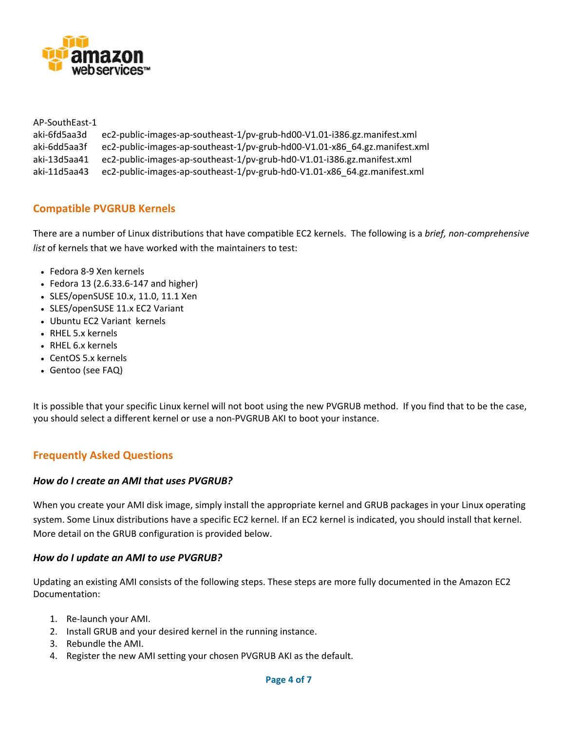

AP‐SouthEast‐1 aki‐6fd5aa3d ec2‐public‐images‐ap‐southeast‐1/pv‐grub‐hd00‐V1.01‐i386.gz.manifest.xml aki‐6dd5aa3f ec2‐public‐images‐ap‐southeast‐1/pv‐grub‐hd00‐V1.01‐x86\_64.gz.manifest.xml aki‐13d5aa41 ec2‐public‐images‐ap‐southeast‐1/pv‐grub‐hd0‐V1.01‐i386.gz.manifest.xml aki‐11d5aa43 ec2‐public‐images‐ap‐southeast‐1/pv‐grub‐hd0‐V1.01‐x86\_64.gz.manifest.xml

# **Compatible PVGRUB Kernels**

There are a number of Linux distributions that have compatible EC2 kernels. The following is a *brief, non‐comprehensive list* of kernels that we have worked with the maintainers to test:

- Fedora 8‐9 Xen kernels
- Fedora 13 (2.6.33.6‐147 and higher)
- SLES/openSUSE 10.x, 11.0, 11.1 Xen
- SLES/openSUSE 11.x EC2 Variant
- Ubuntu EC2 Variant kernels
- RHEL 5.x kernels
- RHEL 6.x kernels
- CentOS 5.x kernels
- Gentoo (see FAQ)

It is possible that your specific Linux kernel will not boot using the new PVGRUB method. If you find that to be the case, you should select a different kernel or use a non‐PVGRUB AKI to boot your instance.

# **Frequently Asked Questions**

## *How do I create an AMI that uses PVGRUB?*

When you create your AMI disk image, simply install the appropriate kernel and GRUB packages in your Linux operating system. Some Linux distributions have a specific EC2 kernel. If an EC2 kernel is indicated, you should install that kernel. More detail on the GRUB configuration is provided below.

## *How do I update an AMI to use PVGRUB?*

Updating an existing AMI consists of the following steps. These steps are more fully documented in the Amazon EC2 Documentation:

- 1. Re‐launch your AMI.
- 2. Install GRUB and your desired kernel in the running instance.
- 3. Rebundle the AMI.
- 4. Register the new AMI setting your chosen PVGRUB AKI as the default.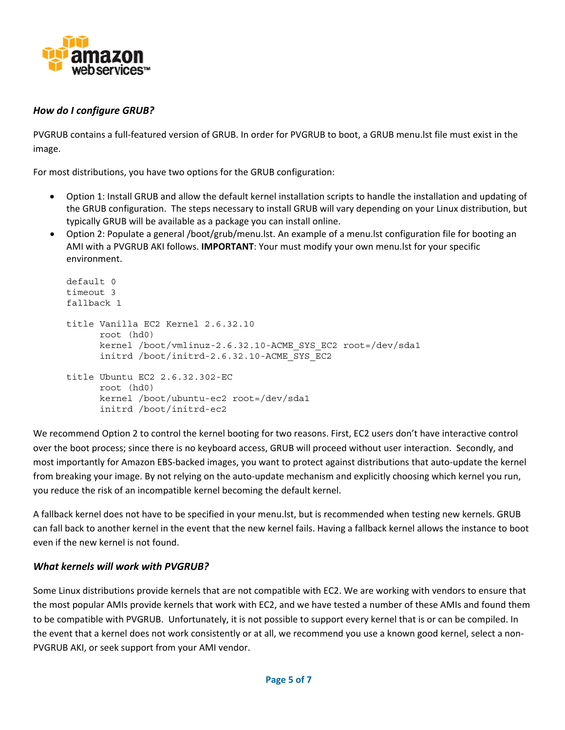

# *How do I configure GRUB?*

PVGRUB contains a full‐featured version of GRUB. In order for PVGRUB to boot, a GRUB menu.lst file must exist in the image.

For most distributions, you have two options for the GRUB configuration:

- Option 1: Install GRUB and allow the default kernel installation scripts to handle the installation and updating of the GRUB configuration. The steps necessary to install GRUB will vary depending on your Linux distribution, but typically GRUB will be available as a package you can install online.
- Option 2: Populate a general /boot/grub/menu.lst. An example of a menu.lst configuration file for booting an AMI with a PVGRUB AKI follows. **IMPORTANT**: Your must modify your own menu.lst for your specific environment.

```
default 0 
timeout 3 
fallback 1 
title Vanilla EC2 Kernel 2.6.32.10 
       root (hd0) 
       kernel /boot/vmlinuz-2.6.32.10-ACME_SYS_EC2 root=/dev/sda1 
       initrd /boot/initrd-2.6.32.10-ACME_SYS_EC2 
title Ubuntu EC2 2.6.32.302-EC 
       root (hd0) 
       kernel /boot/ubuntu-ec2 root=/dev/sda1 
       initrd /boot/initrd-ec2
```
We recommend Option 2 to control the kernel booting for two reasons. First, EC2 users don't have interactive control over the boot process; since there is no keyboard access, GRUB will proceed without user interaction. Secondly, and most importantly for Amazon EBS‐backed images, you want to protect against distributions that auto‐update the kernel from breaking your image. By not relying on the auto-update mechanism and explicitly choosing which kernel you run, you reduce the risk of an incompatible kernel becoming the default kernel.

A fallback kernel does not have to be specified in your menu.lst, but is recommended when testing new kernels. GRUB can fall back to another kernel in the event that the new kernel fails. Having a fallback kernel allows the instance to boot even if the new kernel is not found.

## *What kernels will work with PVGRUB?*

Some Linux distributions provide kernels that are not compatible with EC2. We are working with vendors to ensure that the most popular AMIs provide kernels that work with EC2, and we have tested a number of these AMIs and found them to be compatible with PVGRUB. Unfortunately, it is not possible to support every kernel that is or can be compiled. In the event that a kernel does not work consistently or at all, we recommend you use a known good kernel, select a non-PVGRUB AKI, or seek support from your AMI vendor.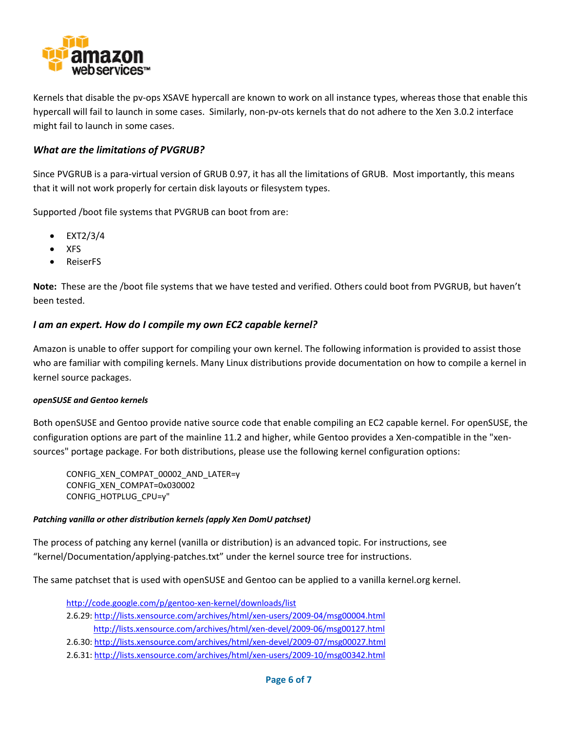

Kernels that disable the pv‐ops XSAVE hypercall are known to work on all instance types, whereas those that enable this hypercall will fail to launch in some cases. Similarly, non‐pv‐ots kernels that do not adhere to the Xen 3.0.2 interface might fail to launch in some cases.

## *What are the limitations of PVGRUB?*

Since PVGRUB is a para‐virtual version of GRUB 0.97, it has all the limitations of GRUB. Most importantly, this means that it will not work properly for certain disk layouts or filesystem types.

Supported /boot file systems that PVGRUB can boot from are:

- EXT2/3/4
- XFS
- ReiserFS

Note: These are the /boot file systems that we have tested and verified. Others could boot from PVGRUB, but haven't been tested.

## *I am an expert. How do I compile my own EC2 capable kernel?*

Amazon is unable to offer support for compiling your own kernel. The following information is provided to assist those who are familiar with compiling kernels. Many Linux distributions provide documentation on how to compile a kernel in kernel source packages.

#### *openSUSE and Gentoo kernels*

Both openSUSE and Gentoo provide native source code that enable compiling an EC2 capable kernel. For openSUSE, the configuration options are part of the mainline 11.2 and higher, while Gentoo provides a Xen-compatible in the "xensources" portage package. For both distributions, please use the following kernel configuration options:

CONFIG\_XEN\_COMPAT\_00002\_AND\_LATER=y CONFIG\_XEN\_COMPAT=0x030002 CONFIG\_HOTPLUG\_CPU=y"

#### *Patching vanilla or other distribution kernels (apply Xen DomU patchset)*

The process of patching any kernel (vanilla or distribution) is an advanced topic. For instructions, see "kernel/Documentation/applying‐patches.txt" under the kernel source tree for instructions.

The same patchset that is used with openSUSE and Gentoo can be applied to a vanilla kernel.org kernel.

http://code.google.com/p/gentoo‐xen‐kernel/downloads/list 2.6.29: http://lists.xensource.com/archives/html/xen‐users/2009‐04/msg00004.html http://lists.xensource.com/archives/html/xen‐devel/2009‐06/msg00127.html 2.6.30: http://lists.xensource.com/archives/html/xen‐devel/2009‐07/msg00027.html

2.6.31: http://lists.xensource.com/archives/html/xen‐users/2009‐10/msg00342.html